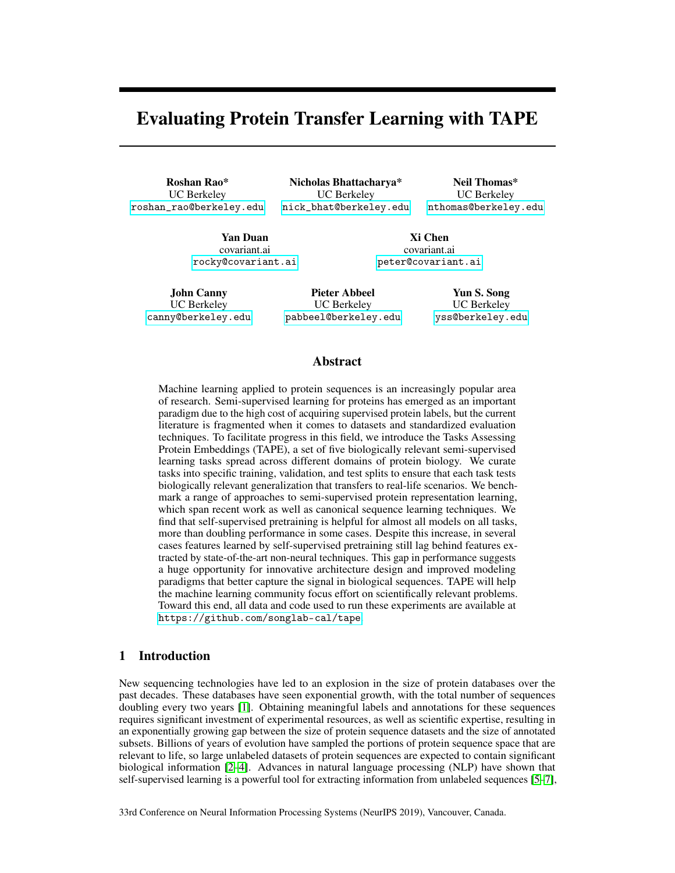# Evaluating Protein Transfer Learning with TAPE

Roshan Rao\* UC Berkeley [roshan\\_rao@berkeley.edu](mailto:roshan_rao@berkeley.edu)

Nicholas Bhattacharya\* UC Berkeley [nick\\_bhat@berkeley.edu](mailto:nick_bhat@berkeley.edu)

Neil Thomas\* UC Berkeley [nthomas@berkeley.edu](mailto:nthomas@berkeley.edu)

Yan Duan covariant.ai [rocky@covariant.ai](mailto:rocky@covariant.ai)

Xi Chen covariant.ai [peter@covariant.ai](mailto:peter@covariant.ai)

John Canny UC Berkeley [canny@berkeley.edu](mailto:canny@berkeley.edu)

Pieter Abbeel UC Berkeley [pabbeel@berkeley.edu](mailto:pabbeel@berkeley.edu)

Yun S. Song UC Berkeley [yss@berkeley.edu](mailto:yss@berkeley.edu)

## Abstract

Machine learning applied to protein sequences is an increasingly popular area of research. Semi-supervised learning for proteins has emerged as an important paradigm due to the high cost of acquiring supervised protein labels, but the current literature is fragmented when it comes to datasets and standardized evaluation techniques. To facilitate progress in this field, we introduce the Tasks Assessing Protein Embeddings (TAPE), a set of five biologically relevant semi-supervised learning tasks spread across different domains of protein biology. We curate tasks into specific training, validation, and test splits to ensure that each task tests biologically relevant generalization that transfers to real-life scenarios. We benchmark a range of approaches to semi-supervised protein representation learning, which span recent work as well as canonical sequence learning techniques. We find that self-supervised pretraining is helpful for almost all models on all tasks, more than doubling performance in some cases. Despite this increase, in several cases features learned by self-supervised pretraining still lag behind features extracted by state-of-the-art non-neural techniques. This gap in performance suggests a huge opportunity for innovative architecture design and improved modeling paradigms that better capture the signal in biological sequences. TAPE will help the machine learning community focus effort on scientifically relevant problems. Toward this end, all data and code used to run these experiments are available at <https://github.com/songlab-cal/tape>.

# 1 Introduction

New sequencing technologies have led to an explosion in the size of protein databases over the past decades. These databases have seen exponential growth, with the total number of sequences doubling every two years [\[1\]](#page-9-0). Obtaining meaningful labels and annotations for these sequences requires significant investment of experimental resources, as well as scientific expertise, resulting in an exponentially growing gap between the size of protein sequence datasets and the size of annotated subsets. Billions of years of evolution have sampled the portions of protein sequence space that are relevant to life, so large unlabeled datasets of protein sequences are expected to contain significant biological information [\[2–](#page-9-1)[4\]](#page-9-2). Advances in natural language processing (NLP) have shown that self-supervised learning is a powerful tool for extracting information from unlabeled sequences [\[5–](#page-9-3)[7\]](#page-9-4),

33rd Conference on Neural Information Processing Systems (NeurIPS 2019), Vancouver, Canada.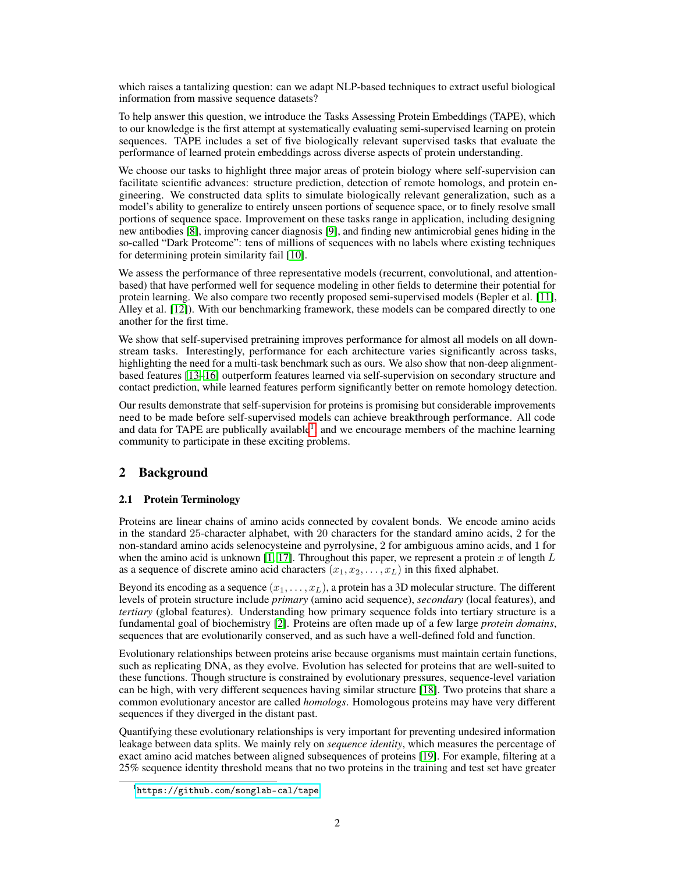which raises a tantalizing question: can we adapt NLP-based techniques to extract useful biological information from massive sequence datasets?

To help answer this question, we introduce the Tasks Assessing Protein Embeddings (TAPE), which to our knowledge is the first attempt at systematically evaluating semi-supervised learning on protein sequences. TAPE includes a set of five biologically relevant supervised tasks that evaluate the performance of learned protein embeddings across diverse aspects of protein understanding.

We choose our tasks to highlight three major areas of protein biology where self-supervision can facilitate scientific advances: structure prediction, detection of remote homologs, and protein engineering. We constructed data splits to simulate biologically relevant generalization, such as a model's ability to generalize to entirely unseen portions of sequence space, or to finely resolve small portions of sequence space. Improvement on these tasks range in application, including designing new antibodies [\[8\]](#page-9-5), improving cancer diagnosis [\[9\]](#page-9-6), and finding new antimicrobial genes hiding in the so-called "Dark Proteome": tens of millions of sequences with no labels where existing techniques for determining protein similarity fail [\[10\]](#page-9-7).

We assess the performance of three representative models (recurrent, convolutional, and attentionbased) that have performed well for sequence modeling in other fields to determine their potential for protein learning. We also compare two recently proposed semi-supervised models (Bepler et al. [\[11\]](#page-9-8), Alley et al. [\[12\]](#page-9-9)). With our benchmarking framework, these models can be compared directly to one another for the first time.

We show that self-supervised pretraining improves performance for almost all models on all downstream tasks. Interestingly, performance for each architecture varies significantly across tasks, highlighting the need for a multi-task benchmark such as ours. We also show that non-deep alignmentbased features [\[13–](#page-9-10)[16\]](#page-9-11) outperform features learned via self-supervision on secondary structure and contact prediction, while learned features perform significantly better on remote homology detection.

Our results demonstrate that self-supervision for proteins is promising but considerable improvements need to be made before self-supervised models can achieve breakthrough performance. All code and data for TAPE are publically available<sup>[1](#page-1-0)</sup>, and we encourage members of the machine learning community to participate in these exciting problems.

# 2 Background

## 2.1 Protein Terminology

Proteins are linear chains of amino acids connected by covalent bonds. We encode amino acids in the standard 25-character alphabet, with 20 characters for the standard amino acids, 2 for the non-standard amino acids selenocysteine and pyrrolysine, 2 for ambiguous amino acids, and 1 for when the amino acid is unknown [\[1,](#page-9-0) [17\]](#page-9-12). Throughout this paper, we represent a protein x of length  $L$ as a sequence of discrete amino acid characters  $(x_1, x_2, \ldots, x_L)$  in this fixed alphabet.

Beyond its encoding as a sequence  $(x_1, \ldots, x_L)$ , a protein has a 3D molecular structure. The different levels of protein structure include *primary* (amino acid sequence), *secondary* (local features), and *tertiary* (global features). Understanding how primary sequence folds into tertiary structure is a fundamental goal of biochemistry [\[2\]](#page-9-1). Proteins are often made up of a few large *protein domains*, sequences that are evolutionarily conserved, and as such have a well-defined fold and function.

Evolutionary relationships between proteins arise because organisms must maintain certain functions, such as replicating DNA, as they evolve. Evolution has selected for proteins that are well-suited to these functions. Though structure is constrained by evolutionary pressures, sequence-level variation can be high, with very different sequences having similar structure [\[18\]](#page-10-0). Two proteins that share a common evolutionary ancestor are called *homologs*. Homologous proteins may have very different sequences if they diverged in the distant past.

Quantifying these evolutionary relationships is very important for preventing undesired information leakage between data splits. We mainly rely on *sequence identity*, which measures the percentage of exact amino acid matches between aligned subsequences of proteins [\[19\]](#page-10-1). For example, filtering at a 25% sequence identity threshold means that no two proteins in the training and test set have greater

<span id="page-1-0"></span><sup>1</sup> <https://github.com/songlab-cal/tape>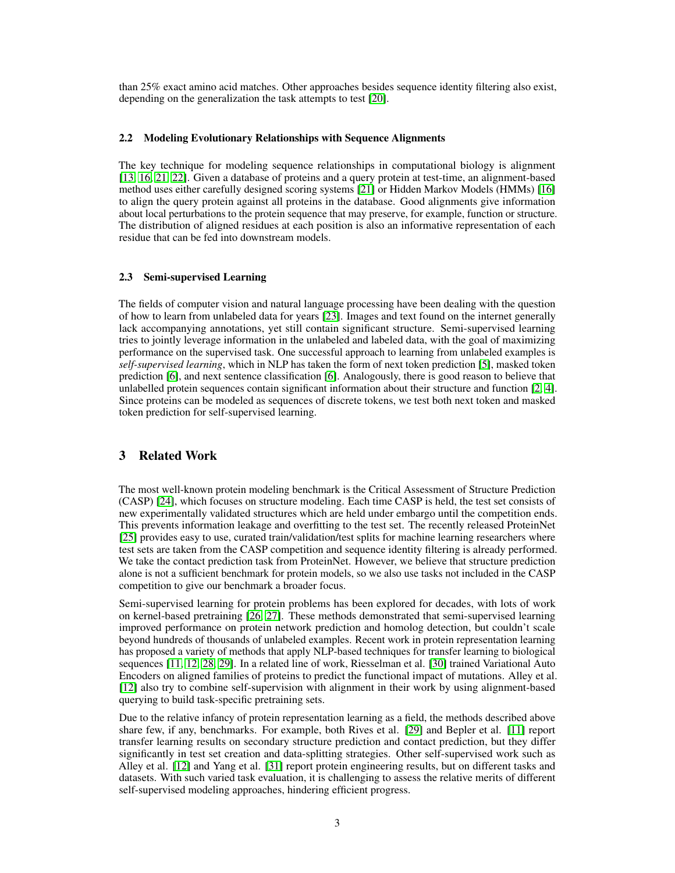than 25% exact amino acid matches. Other approaches besides sequence identity filtering also exist, depending on the generalization the task attempts to test [\[20\]](#page-10-2).

#### <span id="page-2-0"></span>2.2 Modeling Evolutionary Relationships with Sequence Alignments

The key technique for modeling sequence relationships in computational biology is alignment [\[13,](#page-9-10) [16,](#page-9-11) [21,](#page-10-3) [22\]](#page-10-4). Given a database of proteins and a query protein at test-time, an alignment-based method uses either carefully designed scoring systems [\[21\]](#page-10-3) or Hidden Markov Models (HMMs) [\[16\]](#page-9-11) to align the query protein against all proteins in the database. Good alignments give information about local perturbations to the protein sequence that may preserve, for example, function or structure. The distribution of aligned residues at each position is also an informative representation of each residue that can be fed into downstream models.

### 2.3 Semi-supervised Learning

The fields of computer vision and natural language processing have been dealing with the question of how to learn from unlabeled data for years [\[23\]](#page-10-5). Images and text found on the internet generally lack accompanying annotations, yet still contain significant structure. Semi-supervised learning tries to jointly leverage information in the unlabeled and labeled data, with the goal of maximizing performance on the supervised task. One successful approach to learning from unlabeled examples is *self-supervised learning*, which in NLP has taken the form of next token prediction [\[5\]](#page-9-3), masked token prediction [\[6\]](#page-9-13), and next sentence classification [\[6\]](#page-9-13). Analogously, there is good reason to believe that unlabelled protein sequences contain significant information about their structure and function [\[2,](#page-9-1) [4\]](#page-9-2). Since proteins can be modeled as sequences of discrete tokens, we test both next token and masked token prediction for self-supervised learning.

# 3 Related Work

The most well-known protein modeling benchmark is the Critical Assessment of Structure Prediction (CASP) [\[24\]](#page-10-6), which focuses on structure modeling. Each time CASP is held, the test set consists of new experimentally validated structures which are held under embargo until the competition ends. This prevents information leakage and overfitting to the test set. The recently released ProteinNet [\[25\]](#page-10-7) provides easy to use, curated train/validation/test splits for machine learning researchers where test sets are taken from the CASP competition and sequence identity filtering is already performed. We take the contact prediction task from ProteinNet. However, we believe that structure prediction alone is not a sufficient benchmark for protein models, so we also use tasks not included in the CASP competition to give our benchmark a broader focus.

Semi-supervised learning for protein problems has been explored for decades, with lots of work on kernel-based pretraining [\[26,](#page-10-8) [27\]](#page-10-9). These methods demonstrated that semi-supervised learning improved performance on protein network prediction and homolog detection, but couldn't scale beyond hundreds of thousands of unlabeled examples. Recent work in protein representation learning has proposed a variety of methods that apply NLP-based techniques for transfer learning to biological sequences [\[11,](#page-9-8) [12,](#page-9-9) [28,](#page-10-10) [29\]](#page-10-11). In a related line of work, Riesselman et al. [\[30\]](#page-10-12) trained Variational Auto Encoders on aligned families of proteins to predict the functional impact of mutations. Alley et al. [\[12\]](#page-9-9) also try to combine self-supervision with alignment in their work by using alignment-based querying to build task-specific pretraining sets.

Due to the relative infancy of protein representation learning as a field, the methods described above share few, if any, benchmarks. For example, both Rives et al. [\[29\]](#page-10-11) and Bepler et al. [\[11\]](#page-9-8) report transfer learning results on secondary structure prediction and contact prediction, but they differ significantly in test set creation and data-splitting strategies. Other self-supervised work such as Alley et al. [\[12\]](#page-9-9) and Yang et al. [\[31\]](#page-10-13) report protein engineering results, but on different tasks and datasets. With such varied task evaluation, it is challenging to assess the relative merits of different self-supervised modeling approaches, hindering efficient progress.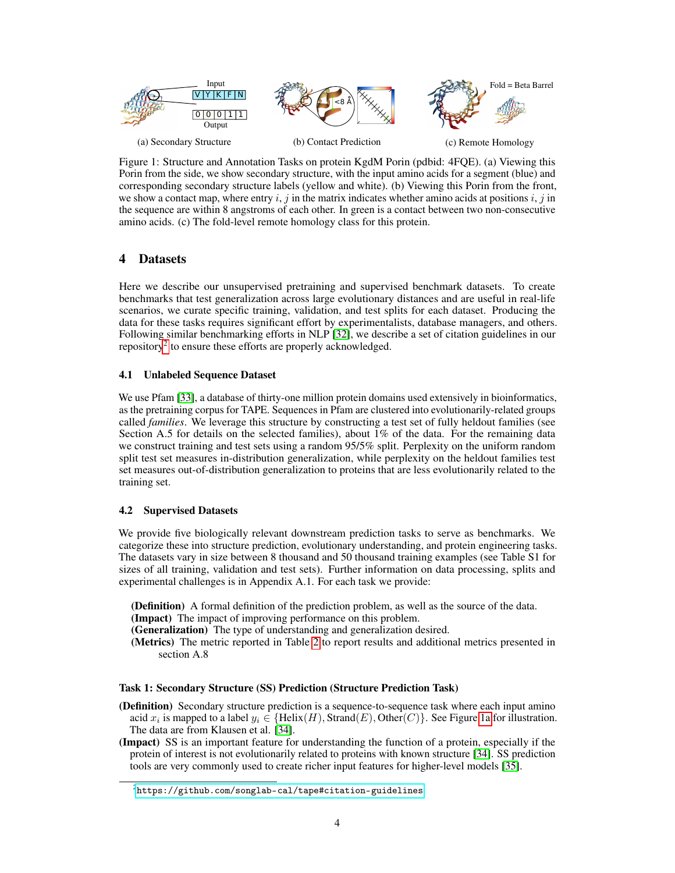<span id="page-3-1"></span>

Figure 1: Structure and Annotation Tasks on protein KgdM Porin (pdbid: 4FQE). (a) Viewing this Porin from the side, we show secondary structure, with the input amino acids for a segment (blue) and corresponding secondary structure labels (yellow and white). (b) Viewing this Porin from the front, we show a contact map, where entry i, j in the matrix indicates whether amino acids at positions i, j in the sequence are within 8 angstroms of each other. In green is a contact between two non-consecutive amino acids. (c) The fold-level remote homology class for this protein.

# <span id="page-3-2"></span>4 Datasets

Here we describe our unsupervised pretraining and supervised benchmark datasets. To create benchmarks that test generalization across large evolutionary distances and are useful in real-life scenarios, we curate specific training, validation, and test splits for each dataset. Producing the data for these tasks requires significant effort by experimentalists, database managers, and others. Following similar benchmarking efforts in NLP [\[32\]](#page-10-14), we describe a set of citation guidelines in our repository<sup>[2](#page-3-0)</sup> to ensure these efforts are properly acknowledged.

## 4.1 Unlabeled Sequence Dataset

We use Pfam [\[33\]](#page-10-15), a database of thirty-one million protein domains used extensively in bioinformatics, as the pretraining corpus for TAPE. Sequences in Pfam are clustered into evolutionarily-related groups called *families*. We leverage this structure by constructing a test set of fully heldout families (see Section A.5 for details on the selected families), about 1% of the data. For the remaining data we construct training and test sets using a random 95/5% split. Perplexity on the uniform random split test set measures in-distribution generalization, while perplexity on the heldout families test set measures out-of-distribution generalization to proteins that are less evolutionarily related to the training set.

## 4.2 Supervised Datasets

We provide five biologically relevant downstream prediction tasks to serve as benchmarks. We categorize these into structure prediction, evolutionary understanding, and protein engineering tasks. The datasets vary in size between 8 thousand and 50 thousand training examples (see Table S1 for sizes of all training, validation and test sets). Further information on data processing, splits and experimental challenges is in Appendix A.1. For each task we provide:

(Definition) A formal definition of the prediction problem, as well as the source of the data. (Impact) The impact of improving performance on this problem.

(Generalization) The type of understanding and generalization desired.

(Metrics) The metric reported in Table [2](#page-7-0) to report results and additional metrics presented in section A.8

## Task 1: Secondary Structure (SS) Prediction (Structure Prediction Task)

- (Definition) Secondary structure prediction is a sequence-to-sequence task where each input amino acid  $x_i$  is mapped to a label  $y_i \in \{\text{Helix}(H), \text{Strand}(E), \text{Other}(C)\}\.$  See Figure [1a](#page-3-1) for illustration. The data are from Klausen et al. [\[34\]](#page-10-16).
- (Impact) SS is an important feature for understanding the function of a protein, especially if the protein of interest is not evolutionarily related to proteins with known structure [\[34\]](#page-10-16). SS prediction tools are very commonly used to create richer input features for higher-level models [\[35\]](#page-10-17).

<span id="page-3-0"></span> $^{2}$ <https://github.com/songlab-cal/tape#citation-guidelines>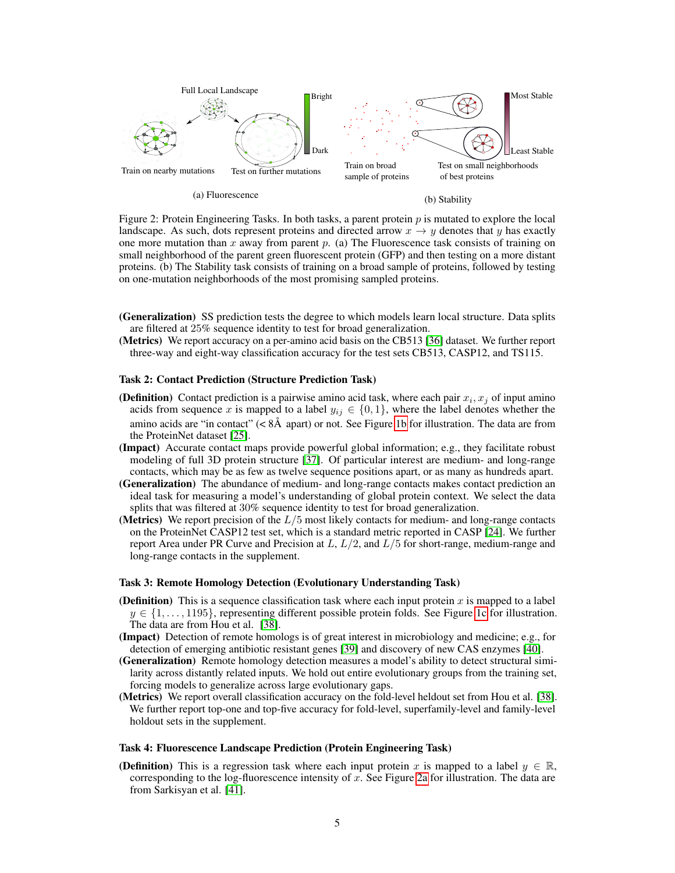<span id="page-4-0"></span>

(a) Fluorescence

(b) Stability

Figure 2: Protein Engineering Tasks. In both tasks, a parent protein  $p$  is mutated to explore the local landscape. As such, dots represent proteins and directed arrow  $x \rightarrow y$  denotes that y has exactly one more mutation than x away from parent  $p$ . (a) The Fluorescence task consists of training on small neighborhood of the parent green fluorescent protein (GFP) and then testing on a more distant proteins. (b) The Stability task consists of training on a broad sample of proteins, followed by testing on one-mutation neighborhoods of the most promising sampled proteins.

- (Generalization) SS prediction tests the degree to which models learn local structure. Data splits are filtered at 25% sequence identity to test for broad generalization.
- (Metrics) We report accuracy on a per-amino acid basis on the CB513 [\[36\]](#page-11-0) dataset. We further report three-way and eight-way classification accuracy for the test sets CB513, CASP12, and TS115.

### Task 2: Contact Prediction (Structure Prediction Task)

- (Definition) Contact prediction is a pairwise amino acid task, where each pair  $x_i, x_j$  of input amino acids from sequence x is mapped to a label  $y_{ij} \in \{0, 1\}$ , where the label denotes whether the amino acids are "in contact" ( $\lt 8\AA$  apart) or not. See Figure [1b](#page-3-1) for illustration. The data are from the ProteinNet dataset [\[25\]](#page-10-7).
- (Impact) Accurate contact maps provide powerful global information; e.g., they facilitate robust modeling of full 3D protein structure [\[37\]](#page-11-1). Of particular interest are medium- and long-range contacts, which may be as few as twelve sequence positions apart, or as many as hundreds apart.
- (Generalization) The abundance of medium- and long-range contacts makes contact prediction an ideal task for measuring a model's understanding of global protein context. We select the data splits that was filtered at 30% sequence identity to test for broad generalization.
- (Metrics) We report precision of the  $L/5$  most likely contacts for medium- and long-range contacts on the ProteinNet CASP12 test set, which is a standard metric reported in CASP [\[24\]](#page-10-6). We further report Area under PR Curve and Precision at  $L, L/2$ , and  $L/5$  for short-range, medium-range and long-range contacts in the supplement.

#### Task 3: Remote Homology Detection (Evolutionary Understanding Task)

- (Definition) This is a sequence classification task where each input protein x is mapped to a label  $y \in \{1, \ldots, 1195\}$ , representing different possible protein folds. See Figure [1c](#page-3-1) for illustration. The data are from Hou et al. [\[38\]](#page-11-2).
- (Impact) Detection of remote homologs is of great interest in microbiology and medicine; e.g., for detection of emerging antibiotic resistant genes [\[39\]](#page-11-3) and discovery of new CAS enzymes [\[40\]](#page-11-4).
- (Generalization) Remote homology detection measures a model's ability to detect structural similarity across distantly related inputs. We hold out entire evolutionary groups from the training set, forcing models to generalize across large evolutionary gaps.
- (Metrics) We report overall classification accuracy on the fold-level heldout set from Hou et al. [\[38\]](#page-11-2). We further report top-one and top-five accuracy for fold-level, superfamily-level and family-level holdout sets in the supplement.

#### Task 4: Fluorescence Landscape Prediction (Protein Engineering Task)

**(Definition)** This is a regression task where each input protein x is mapped to a label  $y \in \mathbb{R}$ , corresponding to the log-fluorescence intensity of  $x$ . See Figure [2a](#page-4-0) for illustration. The data are from Sarkisyan et al. [\[41\]](#page-11-5).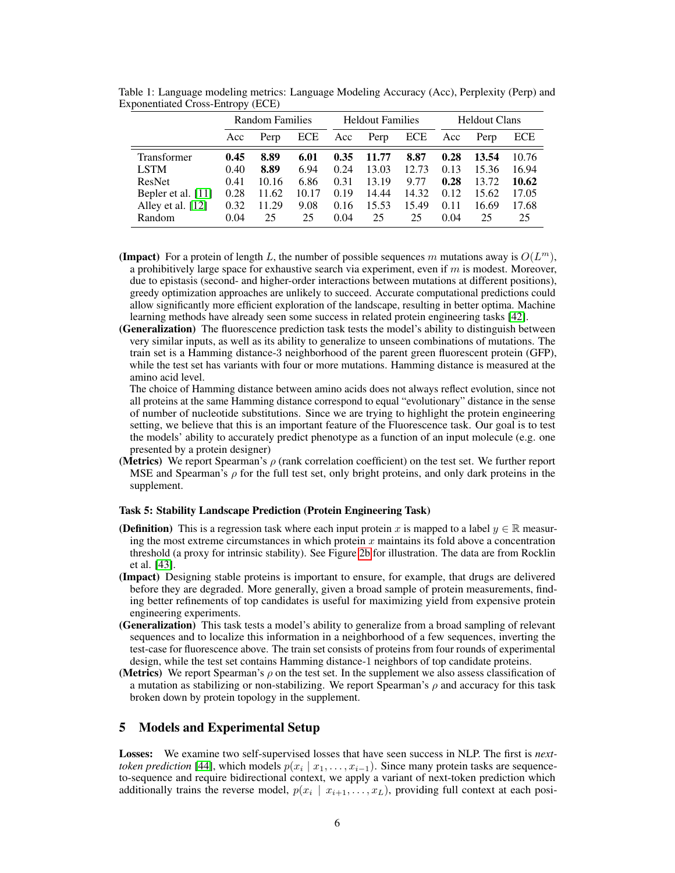|                    | Random Families |       |            | <b>Heldout Families</b> |       |            | <b>Heldout Clans</b> |       |       |
|--------------------|-----------------|-------|------------|-------------------------|-------|------------|----------------------|-------|-------|
|                    | Acc             | Perp  | <b>ECE</b> | Acc                     | Perp  | <b>ECE</b> | Acc                  | Perp  | ECE   |
| <b>Transformer</b> | 0.45            | 8.89  | 6.01       | 0.35                    | 11.77 | 8.87       | 0.28                 | 13.54 | 10.76 |
| <b>LSTM</b>        | 0.40            | 8.89  | 6.94       | 0.24                    | 13.03 | 12.73      | 0.13                 | 15.36 | 16.94 |
| ResNet             | 0.41            | 10.16 | 6.86       | 0.31                    | 13.19 | 9.77       | 0.28                 | 13.72 | 10.62 |
| Bepler et al. [11] | 0.28            | 11.62 | 10.17      | 0.19                    | 14.44 | 14.32      | 0.12                 | 15.62 | 17.05 |
| Alley et al. [12]  | 0.32            | 11.29 | 9.08       | 0.16                    | 15.53 | 15.49      | 0.11                 | 16.69 | 17.68 |
| Random             | 0.04            | 25    | 25         | 0.04                    | 25    | 25         | 0.04                 | 25    | 25    |

<span id="page-5-0"></span>Table 1: Language modeling metrics: Language Modeling Accuracy (Acc), Perplexity (Perp) and Exponentiated Cross-Entropy (ECE)

- (Impact) For a protein of length L, the number of possible sequences m mutations away is  $O(L^m)$ , a prohibitively large space for exhaustive search via experiment, even if  $m$  is modest. Moreover, due to epistasis (second- and higher-order interactions between mutations at different positions), greedy optimization approaches are unlikely to succeed. Accurate computational predictions could allow significantly more efficient exploration of the landscape, resulting in better optima. Machine learning methods have already seen some success in related protein engineering tasks [\[42\]](#page-11-6).
- (Generalization) The fluorescence prediction task tests the model's ability to distinguish between very similar inputs, as well as its ability to generalize to unseen combinations of mutations. The train set is a Hamming distance-3 neighborhood of the parent green fluorescent protein (GFP), while the test set has variants with four or more mutations. Hamming distance is measured at the amino acid level.

The choice of Hamming distance between amino acids does not always reflect evolution, since not all proteins at the same Hamming distance correspond to equal "evolutionary" distance in the sense of number of nucleotide substitutions. Since we are trying to highlight the protein engineering setting, we believe that this is an important feature of the Fluorescence task. Our goal is to test the models' ability to accurately predict phenotype as a function of an input molecule (e.g. one presented by a protein designer)

(Metrics) We report Spearman's  $\rho$  (rank correlation coefficient) on the test set. We further report MSE and Spearman's  $\rho$  for the full test set, only bright proteins, and only dark proteins in the supplement.

### Task 5: Stability Landscape Prediction (Protein Engineering Task)

- **(Definition)** This is a regression task where each input protein x is mapped to a label  $y \in \mathbb{R}$  measuring the most extreme circumstances in which protein  $x$  maintains its fold above a concentration threshold (a proxy for intrinsic stability). See Figure [2b](#page-4-0) for illustration. The data are from Rocklin et al. [\[43\]](#page-11-7).
- (Impact) Designing stable proteins is important to ensure, for example, that drugs are delivered before they are degraded. More generally, given a broad sample of protein measurements, finding better refinements of top candidates is useful for maximizing yield from expensive protein engineering experiments.
- (Generalization) This task tests a model's ability to generalize from a broad sampling of relevant sequences and to localize this information in a neighborhood of a few sequences, inverting the test-case for fluorescence above. The train set consists of proteins from four rounds of experimental design, while the test set contains Hamming distance-1 neighbors of top candidate proteins.
- (Metrics) We report Spearman's  $\rho$  on the test set. In the supplement we also assess classification of a mutation as stabilizing or non-stabilizing. We report Spearman's  $\rho$  and accuracy for this task broken down by protein topology in the supplement.

## 5 Models and Experimental Setup

Losses: We examine two self-supervised losses that have seen success in NLP. The first is *nexttoken prediction* [\[44\]](#page-11-8), which models  $p(x_i | x_1, \ldots, x_{i-1})$ . Since many protein tasks are sequenceto-sequence and require bidirectional context, we apply a variant of next-token prediction which additionally trains the reverse model,  $p(x_i | x_{i+1},...,x_L)$ , providing full context at each posi-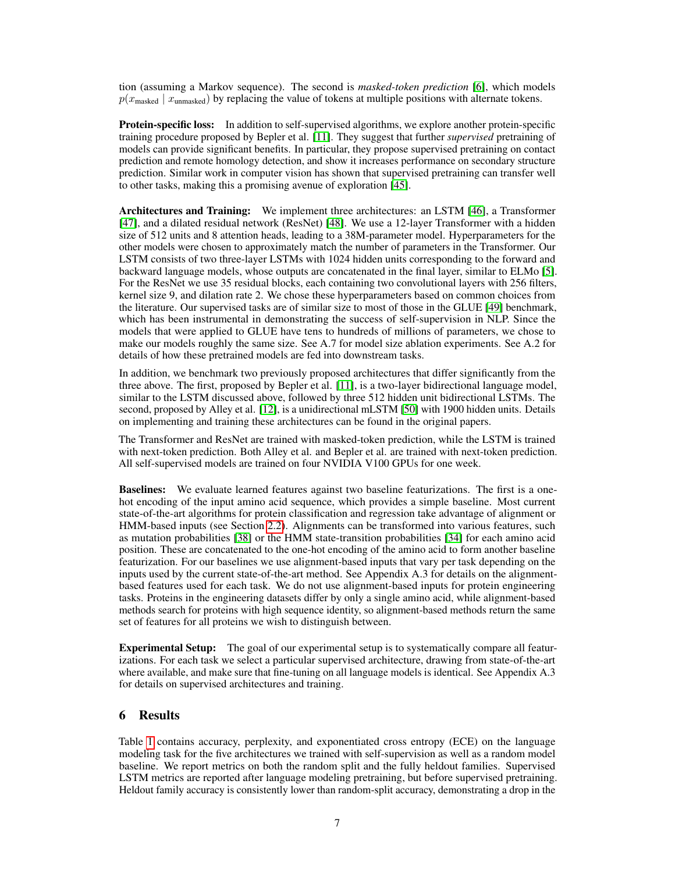tion (assuming a Markov sequence). The second is *masked-token prediction* [\[6\]](#page-9-13), which models  $p(x_{\text{masked}} | x_{\text{unmasked}})$  by replacing the value of tokens at multiple positions with alternate tokens.

**Protein-specific loss:** In addition to self-supervised algorithms, we explore another protein-specific training procedure proposed by Bepler et al. [\[11\]](#page-9-8). They suggest that further *supervised* pretraining of models can provide significant benefits. In particular, they propose supervised pretraining on contact prediction and remote homology detection, and show it increases performance on secondary structure prediction. Similar work in computer vision has shown that supervised pretraining can transfer well to other tasks, making this a promising avenue of exploration [\[45\]](#page-11-9).

Architectures and Training: We implement three architectures: an LSTM [\[46\]](#page-11-10), a Transformer [\[47\]](#page-11-11), and a dilated residual network (ResNet) [\[48\]](#page-11-12). We use a 12-layer Transformer with a hidden size of 512 units and 8 attention heads, leading to a 38M-parameter model. Hyperparameters for the other models were chosen to approximately match the number of parameters in the Transformer. Our LSTM consists of two three-layer LSTMs with 1024 hidden units corresponding to the forward and backward language models, whose outputs are concatenated in the final layer, similar to ELMo [\[5\]](#page-9-3). For the ResNet we use 35 residual blocks, each containing two convolutional layers with 256 filters, kernel size 9, and dilation rate 2. We chose these hyperparameters based on common choices from the literature. Our supervised tasks are of similar size to most of those in the GLUE [\[49\]](#page-11-13) benchmark, which has been instrumental in demonstrating the success of self-supervision in NLP. Since the models that were applied to GLUE have tens to hundreds of millions of parameters, we chose to make our models roughly the same size. See A.7 for model size ablation experiments. See A.2 for details of how these pretrained models are fed into downstream tasks.

In addition, we benchmark two previously proposed architectures that differ significantly from the three above. The first, proposed by Bepler et al. [\[11\]](#page-9-8), is a two-layer bidirectional language model, similar to the LSTM discussed above, followed by three 512 hidden unit bidirectional LSTMs. The second, proposed by Alley et al. [\[12\]](#page-9-9), is a unidirectional mLSTM [\[50\]](#page-11-14) with 1900 hidden units. Details on implementing and training these architectures can be found in the original papers.

The Transformer and ResNet are trained with masked-token prediction, while the LSTM is trained with next-token prediction. Both Alley et al. and Bepler et al. are trained with next-token prediction. All self-supervised models are trained on four NVIDIA V100 GPUs for one week.

Baselines: We evaluate learned features against two baseline featurizations. The first is a onehot encoding of the input amino acid sequence, which provides a simple baseline. Most current state-of-the-art algorithms for protein classification and regression take advantage of alignment or HMM-based inputs (see Section [2.2\)](#page-2-0). Alignments can be transformed into various features, such as mutation probabilities [\[38\]](#page-11-2) or the HMM state-transition probabilities [\[34\]](#page-10-16) for each amino acid position. These are concatenated to the one-hot encoding of the amino acid to form another baseline featurization. For our baselines we use alignment-based inputs that vary per task depending on the inputs used by the current state-of-the-art method. See Appendix A.3 for details on the alignmentbased features used for each task. We do not use alignment-based inputs for protein engineering tasks. Proteins in the engineering datasets differ by only a single amino acid, while alignment-based methods search for proteins with high sequence identity, so alignment-based methods return the same set of features for all proteins we wish to distinguish between.

Experimental Setup: The goal of our experimental setup is to systematically compare all featurizations. For each task we select a particular supervised architecture, drawing from state-of-the-art where available, and make sure that fine-tuning on all language models is identical. See Appendix A.3 for details on supervised architectures and training.

# 6 Results

Table [1](#page-5-0) contains accuracy, perplexity, and exponentiated cross entropy (ECE) on the language modeling task for the five architectures we trained with self-supervision as well as a random model baseline. We report metrics on both the random split and the fully heldout families. Supervised LSTM metrics are reported after language modeling pretraining, but before supervised pretraining. Heldout family accuracy is consistently lower than random-split accuracy, demonstrating a drop in the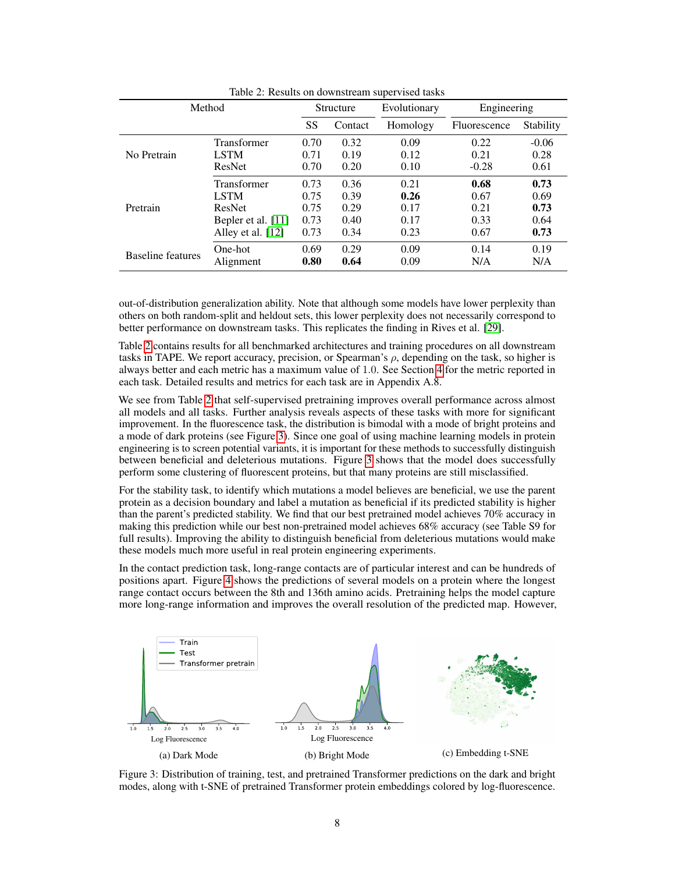<span id="page-7-0"></span>

| Method            |                    | Structure |         | Evolutionary | Engineering  |           |
|-------------------|--------------------|-----------|---------|--------------|--------------|-----------|
|                   |                    | SS        | Contact | Homology     | Fluorescence | Stability |
| No Pretrain       | Transformer        | 0.70      | 0.32    | 0.09         | 0.22         | $-0.06$   |
|                   | <b>LSTM</b>        | 0.71      | 0.19    | 0.12         | 0.21         | 0.28      |
|                   | ResNet             | 0.70      | 0.20    | 0.10         | $-0.28$      | 0.61      |
| Pretrain          | Transformer        | 0.73      | 0.36    | 0.21         | 0.68         | 0.73      |
|                   | <b>LSTM</b>        | 0.75      | 0.39    | 0.26         | 0.67         | 0.69      |
|                   | ResNet             | 0.75      | 0.29    | 0.17         | 0.21         | 0.73      |
|                   | Bepler et al. [11] | 0.73      | 0.40    | 0.17         | 0.33         | 0.64      |
|                   | Alley et al. [12]  | 0.73      | 0.34    | 0.23         | 0.67         | 0.73      |
| Baseline features | One-hot            | 0.69      | 0.29    | 0.09         | 0.14         | 0.19      |
|                   | Alignment          | 0.80      | 0.64    | 0.09         | N/A          | N/A       |

Table 2: Results on downstream supervised tasks

out-of-distribution generalization ability. Note that although some models have lower perplexity than others on both random-split and heldout sets, this lower perplexity does not necessarily correspond to better performance on downstream tasks. This replicates the finding in Rives et al. [\[29\]](#page-10-11).

Table [2](#page-7-0) contains results for all benchmarked architectures and training procedures on all downstream tasks in TAPE. We report accuracy, precision, or Spearman's  $\rho$ , depending on the task, so higher is always better and each metric has a maximum value of 1.0. See Section [4](#page-3-2) for the metric reported in each task. Detailed results and metrics for each task are in Appendix A.8.

We see from Table [2](#page-7-0) that self-supervised pretraining improves overall performance across almost all models and all tasks. Further analysis reveals aspects of these tasks with more for significant improvement. In the fluorescence task, the distribution is bimodal with a mode of bright proteins and a mode of dark proteins (see Figure [3\)](#page-7-1). Since one goal of using machine learning models in protein engineering is to screen potential variants, it is important for these methods to successfully distinguish between beneficial and deleterious mutations. Figure [3](#page-7-1) shows that the model does successfully perform some clustering of fluorescent proteins, but that many proteins are still misclassified.

For the stability task, to identify which mutations a model believes are beneficial, we use the parent protein as a decision boundary and label a mutation as beneficial if its predicted stability is higher than the parent's predicted stability. We find that our best pretrained model achieves 70% accuracy in making this prediction while our best non-pretrained model achieves 68% accuracy (see Table S9 for full results). Improving the ability to distinguish beneficial from deleterious mutations would make these models much more useful in real protein engineering experiments.

In the contact prediction task, long-range contacts are of particular interest and can be hundreds of positions apart. Figure [4](#page-8-0) shows the predictions of several models on a protein where the longest range contact occurs between the 8th and 136th amino acids. Pretraining helps the model capture more long-range information and improves the overall resolution of the predicted map. However,

<span id="page-7-1"></span>

Figure 3: Distribution of training, test, and pretrained Transformer predictions on the dark and bright modes, along with t-SNE of pretrained Transformer protein embeddings colored by log-fluorescence.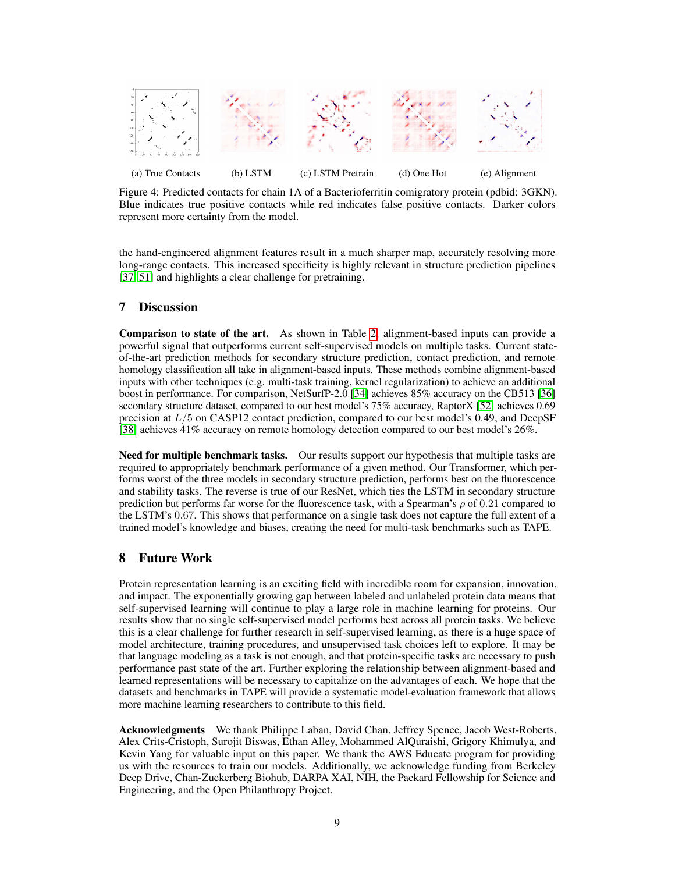<span id="page-8-0"></span>

Figure 4: Predicted contacts for chain 1A of a Bacterioferritin comigratory protein (pdbid: 3GKN). Blue indicates true positive contacts while red indicates false positive contacts. Darker colors represent more certainty from the model.

the hand-engineered alignment features result in a much sharper map, accurately resolving more long-range contacts. This increased specificity is highly relevant in structure prediction pipelines [\[37,](#page-11-1) [51\]](#page-11-15) and highlights a clear challenge for pretraining.

## 7 Discussion

Comparison to state of the art. As shown in Table [2,](#page-7-0) alignment-based inputs can provide a powerful signal that outperforms current self-supervised models on multiple tasks. Current stateof-the-art prediction methods for secondary structure prediction, contact prediction, and remote homology classification all take in alignment-based inputs. These methods combine alignment-based inputs with other techniques (e.g. multi-task training, kernel regularization) to achieve an additional boost in performance. For comparison, NetSurfP-2.0 [\[34\]](#page-10-16) achieves 85% accuracy on the CB513 [\[36\]](#page-11-0) secondary structure dataset, compared to our best model's 75% accuracy, RaptorX [\[52\]](#page-12-0) achieves 0.69 precision at  $L/5$  on CASP12 contact prediction, compared to our best model's 0.49, and DeepSF [\[38\]](#page-11-2) achieves 41% accuracy on remote homology detection compared to our best model's 26%.

Need for multiple benchmark tasks. Our results support our hypothesis that multiple tasks are required to appropriately benchmark performance of a given method. Our Transformer, which performs worst of the three models in secondary structure prediction, performs best on the fluorescence and stability tasks. The reverse is true of our ResNet, which ties the LSTM in secondary structure prediction but performs far worse for the fluorescence task, with a Spearman's  $\rho$  of 0.21 compared to the LSTM's 0.67. This shows that performance on a single task does not capture the full extent of a trained model's knowledge and biases, creating the need for multi-task benchmarks such as TAPE.

## 8 Future Work

Protein representation learning is an exciting field with incredible room for expansion, innovation, and impact. The exponentially growing gap between labeled and unlabeled protein data means that self-supervised learning will continue to play a large role in machine learning for proteins. Our results show that no single self-supervised model performs best across all protein tasks. We believe this is a clear challenge for further research in self-supervised learning, as there is a huge space of model architecture, training procedures, and unsupervised task choices left to explore. It may be that language modeling as a task is not enough, and that protein-specific tasks are necessary to push performance past state of the art. Further exploring the relationship between alignment-based and learned representations will be necessary to capitalize on the advantages of each. We hope that the datasets and benchmarks in TAPE will provide a systematic model-evaluation framework that allows more machine learning researchers to contribute to this field.

Acknowledgments We thank Philippe Laban, David Chan, Jeffrey Spence, Jacob West-Roberts, Alex Crits-Cristoph, Surojit Biswas, Ethan Alley, Mohammed AlQuraishi, Grigory Khimulya, and Kevin Yang for valuable input on this paper. We thank the AWS Educate program for providing us with the resources to train our models. Additionally, we acknowledge funding from Berkeley Deep Drive, Chan-Zuckerberg Biohub, DARPA XAI, NIH, the Packard Fellowship for Science and Engineering, and the Open Philanthropy Project.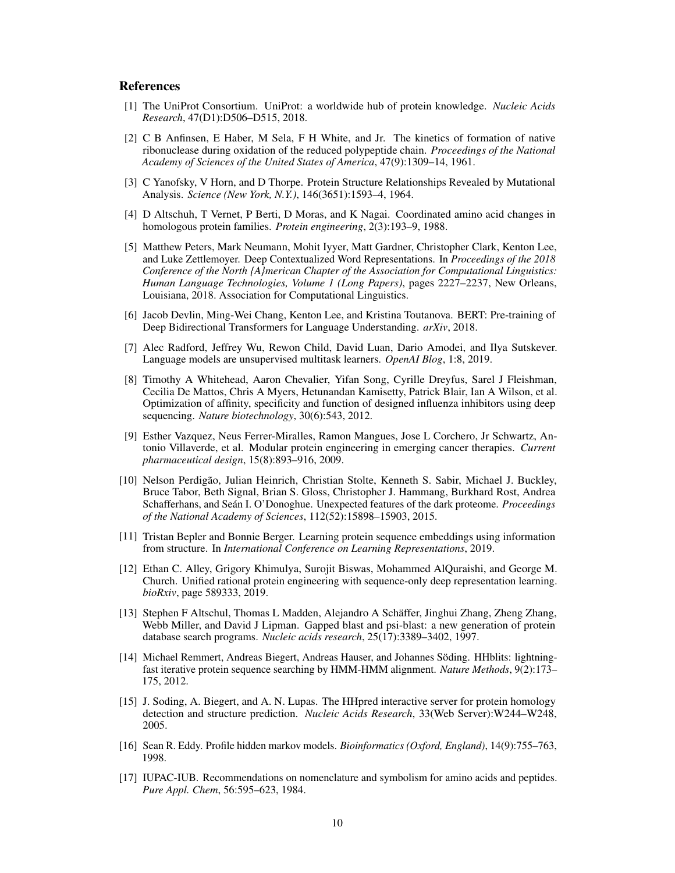# **References**

- <span id="page-9-0"></span>[1] The UniProt Consortium. UniProt: a worldwide hub of protein knowledge. *Nucleic Acids Research*, 47(D1):D506–D515, 2018.
- <span id="page-9-1"></span>[2] C B Anfinsen, E Haber, M Sela, F H White, and Jr. The kinetics of formation of native ribonuclease during oxidation of the reduced polypeptide chain. *Proceedings of the National Academy of Sciences of the United States of America*, 47(9):1309–14, 1961.
- [3] C Yanofsky, V Horn, and D Thorpe. Protein Structure Relationships Revealed by Mutational Analysis. *Science (New York, N.Y.)*, 146(3651):1593–4, 1964.
- <span id="page-9-2"></span>[4] D Altschuh, T Vernet, P Berti, D Moras, and K Nagai. Coordinated amino acid changes in homologous protein families. *Protein engineering*, 2(3):193–9, 1988.
- <span id="page-9-3"></span>[5] Matthew Peters, Mark Neumann, Mohit Iyyer, Matt Gardner, Christopher Clark, Kenton Lee, and Luke Zettlemoyer. Deep Contextualized Word Representations. In *Proceedings of the 2018 Conference of the North {A}merican Chapter of the Association for Computational Linguistics: Human Language Technologies, Volume 1 (Long Papers)*, pages 2227–2237, New Orleans, Louisiana, 2018. Association for Computational Linguistics.
- <span id="page-9-13"></span>[6] Jacob Devlin, Ming-Wei Chang, Kenton Lee, and Kristina Toutanova. BERT: Pre-training of Deep Bidirectional Transformers for Language Understanding. *arXiv*, 2018.
- <span id="page-9-4"></span>[7] Alec Radford, Jeffrey Wu, Rewon Child, David Luan, Dario Amodei, and Ilya Sutskever. Language models are unsupervised multitask learners. *OpenAI Blog*, 1:8, 2019.
- <span id="page-9-5"></span>[8] Timothy A Whitehead, Aaron Chevalier, Yifan Song, Cyrille Dreyfus, Sarel J Fleishman, Cecilia De Mattos, Chris A Myers, Hetunandan Kamisetty, Patrick Blair, Ian A Wilson, et al. Optimization of affinity, specificity and function of designed influenza inhibitors using deep sequencing. *Nature biotechnology*, 30(6):543, 2012.
- <span id="page-9-6"></span>[9] Esther Vazquez, Neus Ferrer-Miralles, Ramon Mangues, Jose L Corchero, Jr Schwartz, Antonio Villaverde, et al. Modular protein engineering in emerging cancer therapies. *Current pharmaceutical design*, 15(8):893–916, 2009.
- <span id="page-9-7"></span>[10] Nelson Perdigão, Julian Heinrich, Christian Stolte, Kenneth S. Sabir, Michael J. Buckley, Bruce Tabor, Beth Signal, Brian S. Gloss, Christopher J. Hammang, Burkhard Rost, Andrea Schafferhans, and Seán I. O'Donoghue. Unexpected features of the dark proteome. *Proceedings of the National Academy of Sciences*, 112(52):15898–15903, 2015.
- <span id="page-9-8"></span>[11] Tristan Bepler and Bonnie Berger. Learning protein sequence embeddings using information from structure. In *International Conference on Learning Representations*, 2019.
- <span id="page-9-9"></span>[12] Ethan C. Alley, Grigory Khimulya, Surojit Biswas, Mohammed AlQuraishi, and George M. Church. Unified rational protein engineering with sequence-only deep representation learning. *bioRxiv*, page 589333, 2019.
- <span id="page-9-10"></span>[13] Stephen F Altschul, Thomas L Madden, Alejandro A Schäffer, Jinghui Zhang, Zheng Zhang, Webb Miller, and David J Lipman. Gapped blast and psi-blast: a new generation of protein database search programs. *Nucleic acids research*, 25(17):3389–3402, 1997.
- [14] Michael Remmert, Andreas Biegert, Andreas Hauser, and Johannes Söding. HHblits: lightningfast iterative protein sequence searching by HMM-HMM alignment. *Nature Methods*, 9(2):173– 175, 2012.
- [15] J. Soding, A. Biegert, and A. N. Lupas. The HHpred interactive server for protein homology detection and structure prediction. *Nucleic Acids Research*, 33(Web Server):W244–W248, 2005.
- <span id="page-9-11"></span>[16] Sean R. Eddy. Profile hidden markov models. *Bioinformatics (Oxford, England)*, 14(9):755–763, 1998.
- <span id="page-9-12"></span>[17] IUPAC-IUB. Recommendations on nomenclature and symbolism for amino acids and peptides. *Pure Appl. Chem*, 56:595–623, 1984.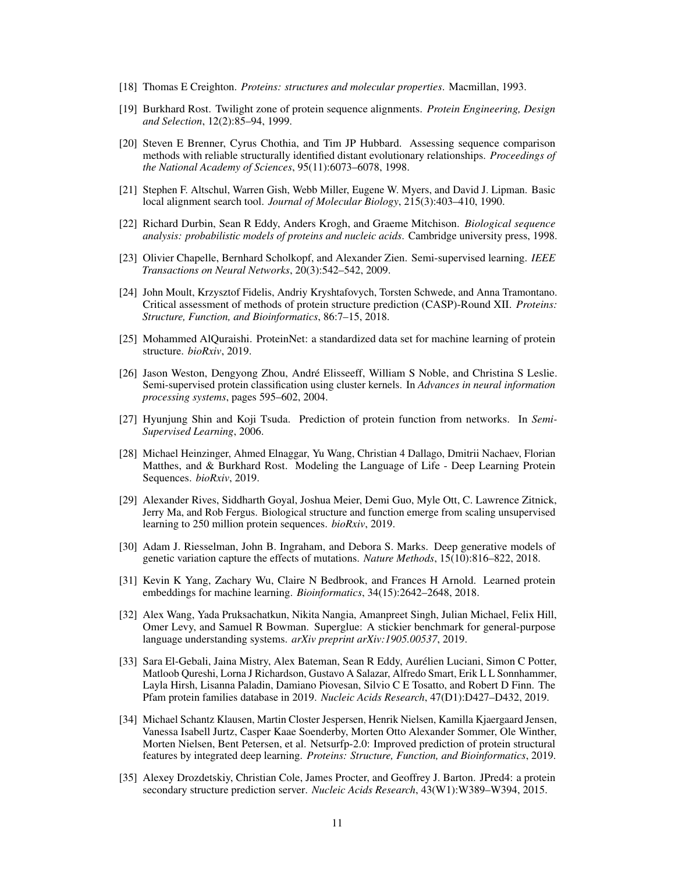- <span id="page-10-0"></span>[18] Thomas E Creighton. *Proteins: structures and molecular properties*. Macmillan, 1993.
- <span id="page-10-1"></span>[19] Burkhard Rost. Twilight zone of protein sequence alignments. *Protein Engineering, Design and Selection*, 12(2):85–94, 1999.
- <span id="page-10-2"></span>[20] Steven E Brenner, Cyrus Chothia, and Tim JP Hubbard. Assessing sequence comparison methods with reliable structurally identified distant evolutionary relationships. *Proceedings of the National Academy of Sciences*, 95(11):6073–6078, 1998.
- <span id="page-10-3"></span>[21] Stephen F. Altschul, Warren Gish, Webb Miller, Eugene W. Myers, and David J. Lipman. Basic local alignment search tool. *Journal of Molecular Biology*, 215(3):403–410, 1990.
- <span id="page-10-4"></span>[22] Richard Durbin, Sean R Eddy, Anders Krogh, and Graeme Mitchison. *Biological sequence analysis: probabilistic models of proteins and nucleic acids*. Cambridge university press, 1998.
- <span id="page-10-5"></span>[23] Olivier Chapelle, Bernhard Scholkopf, and Alexander Zien. Semi-supervised learning. *IEEE Transactions on Neural Networks*, 20(3):542–542, 2009.
- <span id="page-10-6"></span>[24] John Moult, Krzysztof Fidelis, Andriy Kryshtafovych, Torsten Schwede, and Anna Tramontano. Critical assessment of methods of protein structure prediction (CASP)-Round XII. *Proteins: Structure, Function, and Bioinformatics*, 86:7–15, 2018.
- <span id="page-10-7"></span>[25] Mohammed AlQuraishi. ProteinNet: a standardized data set for machine learning of protein structure. *bioRxiv*, 2019.
- <span id="page-10-8"></span>[26] Jason Weston, Dengyong Zhou, André Elisseeff, William S Noble, and Christina S Leslie. Semi-supervised protein classification using cluster kernels. In *Advances in neural information processing systems*, pages 595–602, 2004.
- <span id="page-10-9"></span>[27] Hyunjung Shin and Koji Tsuda. Prediction of protein function from networks. In *Semi-Supervised Learning*, 2006.
- <span id="page-10-10"></span>[28] Michael Heinzinger, Ahmed Elnaggar, Yu Wang, Christian 4 Dallago, Dmitrii Nachaev, Florian Matthes, and & Burkhard Rost. Modeling the Language of Life - Deep Learning Protein Sequences. *bioRxiv*, 2019.
- <span id="page-10-11"></span>[29] Alexander Rives, Siddharth Goyal, Joshua Meier, Demi Guo, Myle Ott, C. Lawrence Zitnick, Jerry Ma, and Rob Fergus. Biological structure and function emerge from scaling unsupervised learning to 250 million protein sequences. *bioRxiv*, 2019.
- <span id="page-10-12"></span>[30] Adam J. Riesselman, John B. Ingraham, and Debora S. Marks. Deep generative models of genetic variation capture the effects of mutations. *Nature Methods*, 15(10):816–822, 2018.
- <span id="page-10-13"></span>[31] Kevin K Yang, Zachary Wu, Claire N Bedbrook, and Frances H Arnold. Learned protein embeddings for machine learning. *Bioinformatics*, 34(15):2642–2648, 2018.
- <span id="page-10-14"></span>[32] Alex Wang, Yada Pruksachatkun, Nikita Nangia, Amanpreet Singh, Julian Michael, Felix Hill, Omer Levy, and Samuel R Bowman. Superglue: A stickier benchmark for general-purpose language understanding systems. *arXiv preprint arXiv:1905.00537*, 2019.
- <span id="page-10-15"></span>[33] Sara El-Gebali, Jaina Mistry, Alex Bateman, Sean R Eddy, Aurélien Luciani, Simon C Potter, Matloob Qureshi, Lorna J Richardson, Gustavo A Salazar, Alfredo Smart, Erik L L Sonnhammer, Layla Hirsh, Lisanna Paladin, Damiano Piovesan, Silvio C E Tosatto, and Robert D Finn. The Pfam protein families database in 2019. *Nucleic Acids Research*, 47(D1):D427–D432, 2019.
- <span id="page-10-16"></span>[34] Michael Schantz Klausen, Martin Closter Jespersen, Henrik Nielsen, Kamilla Kjaergaard Jensen, Vanessa Isabell Jurtz, Casper Kaae Soenderby, Morten Otto Alexander Sommer, Ole Winther, Morten Nielsen, Bent Petersen, et al. Netsurfp-2.0: Improved prediction of protein structural features by integrated deep learning. *Proteins: Structure, Function, and Bioinformatics*, 2019.
- <span id="page-10-17"></span>[35] Alexey Drozdetskiy, Christian Cole, James Procter, and Geoffrey J. Barton. JPred4: a protein secondary structure prediction server. *Nucleic Acids Research*, 43(W1):W389–W394, 2015.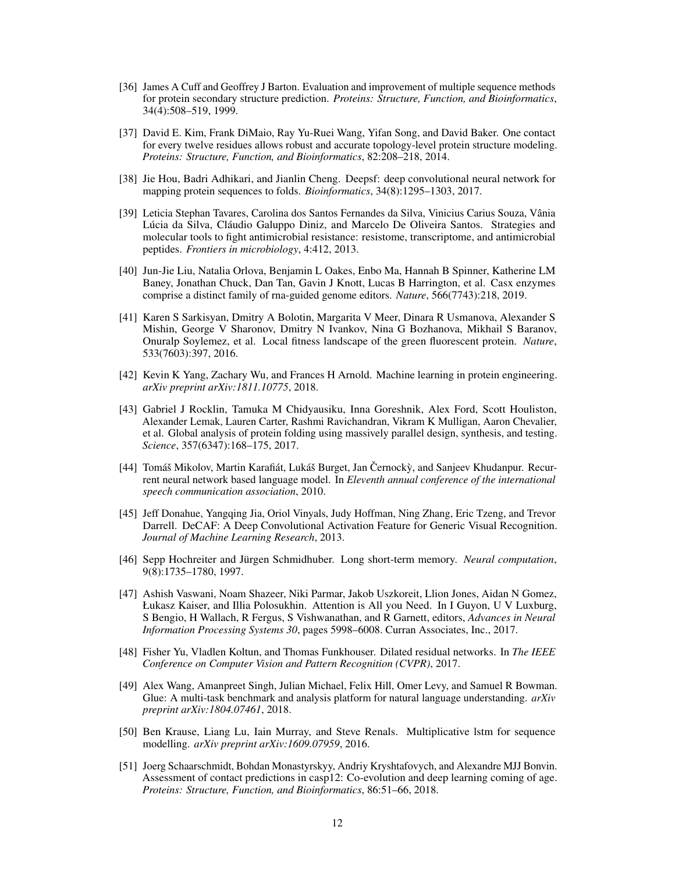- <span id="page-11-0"></span>[36] James A Cuff and Geoffrey J Barton. Evaluation and improvement of multiple sequence methods for protein secondary structure prediction. *Proteins: Structure, Function, and Bioinformatics*, 34(4):508–519, 1999.
- <span id="page-11-1"></span>[37] David E. Kim, Frank DiMaio, Ray Yu-Ruei Wang, Yifan Song, and David Baker. One contact for every twelve residues allows robust and accurate topology-level protein structure modeling. *Proteins: Structure, Function, and Bioinformatics*, 82:208–218, 2014.
- <span id="page-11-2"></span>[38] Jie Hou, Badri Adhikari, and Jianlin Cheng. Deepsf: deep convolutional neural network for mapping protein sequences to folds. *Bioinformatics*, 34(8):1295–1303, 2017.
- <span id="page-11-3"></span>[39] Leticia Stephan Tavares, Carolina dos Santos Fernandes da Silva, Vinicius Carius Souza, Vânia Lúcia da Silva, Cláudio Galuppo Diniz, and Marcelo De Oliveira Santos. Strategies and molecular tools to fight antimicrobial resistance: resistome, transcriptome, and antimicrobial peptides. *Frontiers in microbiology*, 4:412, 2013.
- <span id="page-11-4"></span>[40] Jun-Jie Liu, Natalia Orlova, Benjamin L Oakes, Enbo Ma, Hannah B Spinner, Katherine LM Baney, Jonathan Chuck, Dan Tan, Gavin J Knott, Lucas B Harrington, et al. Casx enzymes comprise a distinct family of rna-guided genome editors. *Nature*, 566(7743):218, 2019.
- <span id="page-11-5"></span>[41] Karen S Sarkisyan, Dmitry A Bolotin, Margarita V Meer, Dinara R Usmanova, Alexander S Mishin, George V Sharonov, Dmitry N Ivankov, Nina G Bozhanova, Mikhail S Baranov, Onuralp Soylemez, et al. Local fitness landscape of the green fluorescent protein. *Nature*, 533(7603):397, 2016.
- <span id="page-11-6"></span>[42] Kevin K Yang, Zachary Wu, and Frances H Arnold. Machine learning in protein engineering. *arXiv preprint arXiv:1811.10775*, 2018.
- <span id="page-11-7"></span>[43] Gabriel J Rocklin, Tamuka M Chidyausiku, Inna Goreshnik, Alex Ford, Scott Houliston, Alexander Lemak, Lauren Carter, Rashmi Ravichandran, Vikram K Mulligan, Aaron Chevalier, et al. Global analysis of protein folding using massively parallel design, synthesis, and testing. *Science*, 357(6347):168–175, 2017.
- <span id="page-11-8"></span>[44] Tomáš Mikolov, Martin Karafiát, Lukáš Burget, Jan Černockỳ, and Sanjeev Khudanpur. Recurrent neural network based language model. In *Eleventh annual conference of the international speech communication association*, 2010.
- <span id="page-11-9"></span>[45] Jeff Donahue, Yangqing Jia, Oriol Vinyals, Judy Hoffman, Ning Zhang, Eric Tzeng, and Trevor Darrell. DeCAF: A Deep Convolutional Activation Feature for Generic Visual Recognition. *Journal of Machine Learning Research*, 2013.
- <span id="page-11-10"></span>[46] Sepp Hochreiter and Jürgen Schmidhuber. Long short-term memory. *Neural computation*, 9(8):1735–1780, 1997.
- <span id="page-11-11"></span>[47] Ashish Vaswani, Noam Shazeer, Niki Parmar, Jakob Uszkoreit, Llion Jones, Aidan N Gomez, Łukasz Kaiser, and Illia Polosukhin. Attention is All you Need. In I Guyon, U V Luxburg, S Bengio, H Wallach, R Fergus, S Vishwanathan, and R Garnett, editors, *Advances in Neural Information Processing Systems 30*, pages 5998–6008. Curran Associates, Inc., 2017.
- <span id="page-11-12"></span>[48] Fisher Yu, Vladlen Koltun, and Thomas Funkhouser. Dilated residual networks. In *The IEEE Conference on Computer Vision and Pattern Recognition (CVPR)*, 2017.
- <span id="page-11-13"></span>[49] Alex Wang, Amanpreet Singh, Julian Michael, Felix Hill, Omer Levy, and Samuel R Bowman. Glue: A multi-task benchmark and analysis platform for natural language understanding. *arXiv preprint arXiv:1804.07461*, 2018.
- <span id="page-11-14"></span>[50] Ben Krause, Liang Lu, Iain Murray, and Steve Renals. Multiplicative lstm for sequence modelling. *arXiv preprint arXiv:1609.07959*, 2016.
- <span id="page-11-15"></span>[51] Joerg Schaarschmidt, Bohdan Monastyrskyy, Andriy Kryshtafovych, and Alexandre MJJ Bonvin. Assessment of contact predictions in casp12: Co-evolution and deep learning coming of age. *Proteins: Structure, Function, and Bioinformatics*, 86:51–66, 2018.